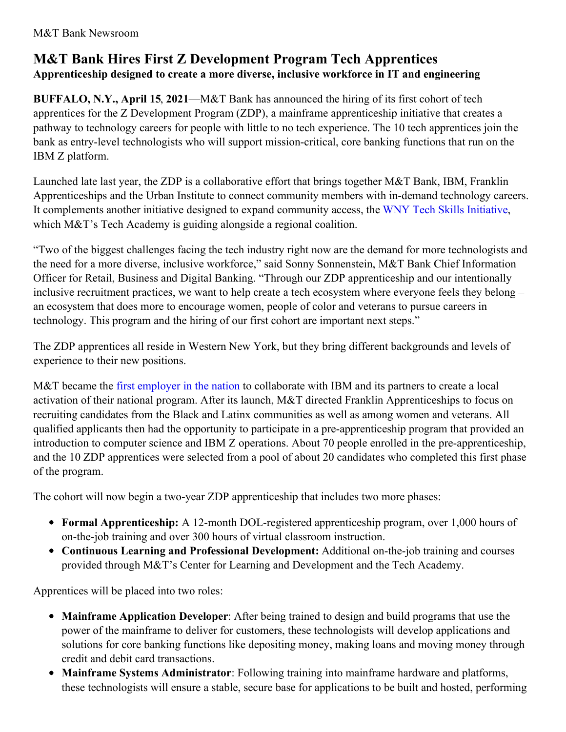## **M&T Bank Hires First Z Development Program Tech Apprentices Apprenticeship designed to create a more diverse, inclusive workforce in IT and engineering**

**BUFFALO, N.Y., April 15**, **2021**—M&T Bank has announced the hiring of its first cohort of tech apprentices for the Z Development Program (ZDP), a mainframe apprenticeship initiative that creates a pathway to technology careers for people with little to no tech experience. The 10 tech apprentices join the bank as entry-level technologists who will support mission-critical, core banking functions that run on the IBM Z platform.

Launched late last year, the ZDP is a collaborative effort that brings together M&T Bank, IBM, Franklin Apprenticeships and the Urban Institute to connect community members with in-demand technology careers. It complements another initiative designed to expand community access, the WNY Tech Skills [Initiative](https://www.techbuffalo.org/wny-tech-skills-initiative/), which M&T's Tech Academy is guiding alongside a regional coalition.

"Two of the biggest challenges facing the tech industry right now are the demand for more technologists and the need for a more diverse, inclusive workforce," said Sonny Sonnenstein, M&T Bank Chief Information Officer for Retail, Business and Digital Banking. "Through our ZDP apprenticeship and our intentionally inclusive recruitment practices, we want to help create a tech ecosystem where everyone feels they belong – an ecosystem that does more to encourage women, people of color and veterans to pursue careers in technology. This program and the hiring of our first cohort are important next steps."

The ZDP apprentices all reside in Western New York, but they bring different backgrounds and levels of experience to their new positions.

M&T became the first [employer](https://newsroom.ibm.com/2020-11-19-IBM-Announces-New-Collar-Apprenticeship-Accelerator-for-IBM-Z) in the nation to collaborate with IBM and its partners to create a local activation of their national program. After its launch, M&T directed Franklin Apprenticeships to focus on recruiting candidates from the Black and Latinx communities as well as among women and veterans. All qualified applicants then had the opportunity to participate in a pre-apprenticeship program that provided an introduction to computer science and IBM Z operations. About 70 people enrolled in the pre-apprenticeship, and the 10 ZDP apprentices were selected from a pool of about 20 candidates who completed this first phase of the program.

The cohort will now begin a two-year ZDP apprenticeship that includes two more phases:

- **Formal Apprenticeship:** A 12-month DOL-registered apprenticeship program, over 1,000 hours of on-the-job training and over 300 hours of virtual classroom instruction.
- **Continuous Learning and Professional Development:** Additional on-the-job training and courses provided through M&T's Center for Learning and Development and the Tech Academy.

Apprentices will be placed into two roles:

- **Mainframe Application Developer**: After being trained to design and build programs that use the power of the mainframe to deliver for customers, these technologists will develop applications and solutions for core banking functions like depositing money, making loans and moving money through credit and debit card transactions.
- **Mainframe Systems Administrator**: Following training into mainframe hardware and platforms, these technologists will ensure a stable, secure base for applications to be built and hosted, performing